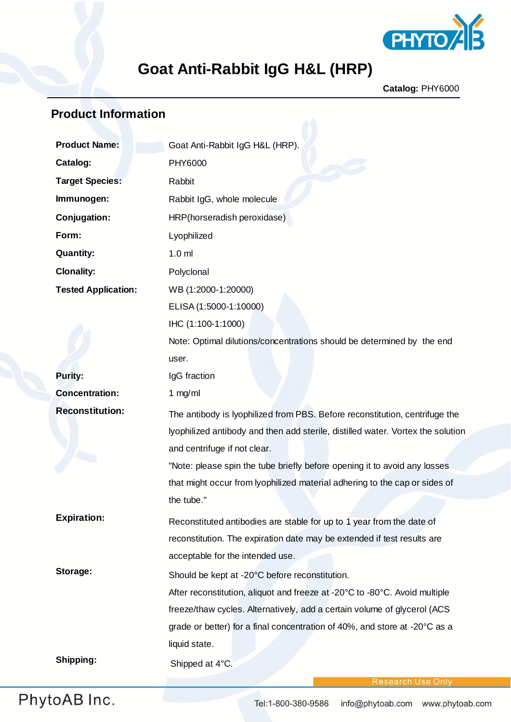

# **Goat Anti-Rabbit IgG H&L (HRP)**

**Catalog:** PHY6000

### **Product Information**

| <b>Product Name:</b>       | Goat Anti-Rabbit IgG H&L (HRP).                                                 |
|----------------------------|---------------------------------------------------------------------------------|
| Catalog:                   | PHY6000                                                                         |
| <b>Target Species:</b>     | Rabbit                                                                          |
| Immunogen:                 | Rabbit IgG, whole molecule                                                      |
| Conjugation:               | HRP(horseradish peroxidase)                                                     |
| Form:                      | Lyophilized                                                                     |
| <b>Quantity:</b>           | 1.0 <sub>m</sub>                                                                |
| <b>Clonality:</b>          | Polyclonal                                                                      |
| <b>Tested Application:</b> | WB (1:2000-1:20000)                                                             |
|                            | ELISA (1:5000-1:10000)                                                          |
|                            | IHC (1:100-1:1000)                                                              |
|                            | Note: Optimal dilutions/concentrations should be determined by the end          |
|                            | user.                                                                           |
| <b>Purity:</b>             | IgG fraction                                                                    |
| <b>Concentration:</b>      | 1 $mg/ml$                                                                       |
| <b>Reconstitution:</b>     | The antibody is lyophilized from PBS. Before reconstitution, centrifuge the     |
|                            | lyophilized antibody and then add sterile, distilled water. Vortex the solution |
|                            | and centrifuge if not clear.                                                    |
|                            | "Note: please spin the tube briefly before opening it to avoid any losses       |
|                            | that might occur from lyophilized material adhering to the cap or sides of      |
|                            | the tube."                                                                      |
| <b>Expiration:</b>         | Reconstituted antibodies are stable for up to 1 year from the date of           |
|                            | reconstitution. The expiration date may be extended if test results are         |
|                            | acceptable for the intended use.                                                |
| Storage:                   | Should be kept at -20°C before reconstitution.                                  |
|                            | After reconstitution, aliquot and freeze at -20°C to -80°C. Avoid multiple      |
|                            | freeze/thaw cycles. Alternatively, add a certain volume of glycerol (ACS        |
|                            | grade or better) for a final concentration of 40%, and store at -20°C as a      |
|                            | liquid state.                                                                   |
| Shipping:                  | Shipped at 4°C.                                                                 |
|                            |                                                                                 |